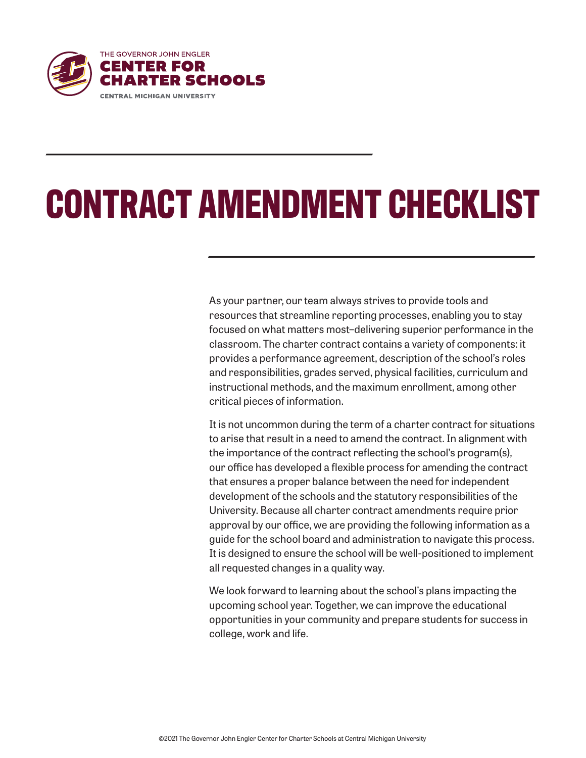

# **CONTRACT AMENDMENT CHECKLIST**

As your partner, our team always strives to provide tools and resources that streamline reporting processes, enabling you to stay focused on what matters most–delivering superior performance in the classroom. The charter contract contains a variety of components: it provides a performance agreement, description of the school's roles and responsibilities, grades served, physical facilities, curriculum and instructional methods, and the maximum enrollment, among other critical pieces of information.

It is not uncommon during the term of a charter contract for situations to arise that result in a need to amend the contract. In alignment with the importance of the contract reflecting the school's program(s), our office has developed a flexible process for amending the contract that ensures a proper balance between the need for independent development of the schools and the statutory responsibilities of the University. Because all charter contract amendments require prior approval by our office, we are providing the following information as a guide for the school board and administration to navigate this process. It is designed to ensure the school will be well-positioned to implement all requested changes in a quality way.

We look forward to learning about the school's plans impacting the upcoming school year. Together, we can improve the educational opportunities in your community and prepare students for success in college, work and life.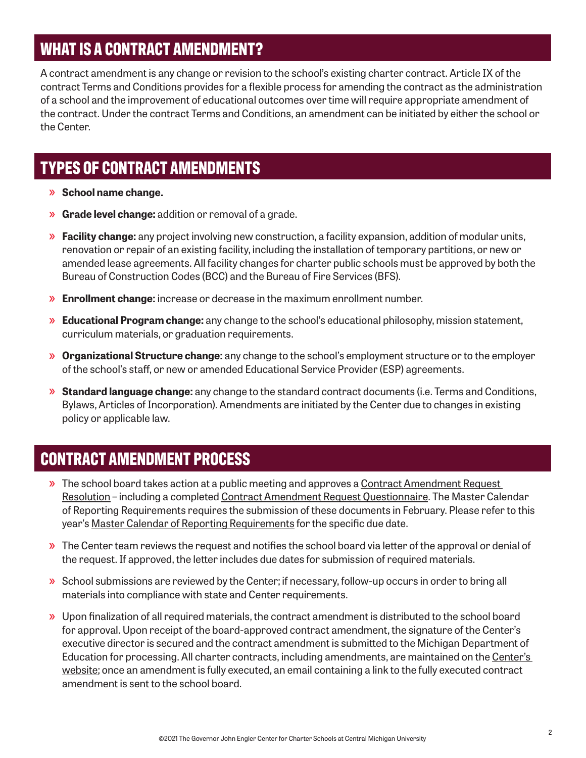## **WHAT IS A CONTRACT AMENDMENT?**

A contract amendment is any change or revision to the school's existing charter contract. Article IX of the contract Terms and Conditions provides for a flexible process for amending the contract as the administration of a school and the improvement of educational outcomes over time will require appropriate amendment of the contract. Under the contract Terms and Conditions, an amendment can be initiated by either the school or the Center.

## **TYPES OF CONTRACT AMENDMENTS**

- »**»School name change.**
- »**»Grade level change:** addition or removal of a grade.
- »**»Facility change:** any project involving new construction, a facility expansion, addition of modular units, renovation or repair of an existing facility, including the installation of temporary partitions, or new or amended lease agreements. All facility changes for charter public schools must be approved by both the Bureau of Construction Codes (BCC) and the Bureau of Fire Services (BFS).
- »**»Enrollment change:** increase or decrease in the maximum enrollment number.
- »**»Educational Program change:** any change to the school's educational philosophy, mission statement, curriculum materials, or graduation requirements.
- »**»Organizational Structure change:** any change to the school's employment structure or to the employer of the school's staff, or new or amended Educational Service Provider (ESP) agreements.
- »**»Standard language change:** any change to the standard contract documents (i.e. Terms and Conditions, Bylaws, Articles of Incorporation). Amendments are initiated by the Center due to changes in existing policy or applicable law.

### **CONTRACT AMENDMENT PROCESS**

- **»** The school board takes action at a public meeting and approves a Contract Amendment Request [Resolution](https://www.thecenterforcharters.org/wp-content/uploads/2016/05/Contract-Amendment-Request-Resolution.pdf) – including a completed [Contract Amendment Request Questionnaire](https://www.thecenterforcharters.org/wp-content/uploads/2021/10/CONTRACT-AMENDMENT-REQUEST-QUESTIONNAIRE.docx). The Master Calendar of Reporting Requirements requires the submission of these documents in February. Please refer to this year's [Master Calendar of Reporting Requirements](https://www.thecenterforcharters.org/resource-center/administration/master-calendar-of-reporting-requirements/) for the specific due date.
- »**»**The Center team reviews the request and notifies the school board via letter of the approval or denial of the request. If approved, the letter includes due dates for submission of required materials.
- »**»**School submissions are reviewed by the Center; if necessary, follow-up occurs in order to bring all materials into compliance with state and Center requirements.
- »**»**Upon finalization of all required materials, the contract amendment is distributed to the school board for approval. Upon receipt of the board-approved contract amendment, the signature of the Center's executive director is secured and the contract amendment is submitted to the Michigan Department of Education for processing. All charter contracts, including amendments, are maintained on the Center's [website](https://www.thecenterforcharters.org/schools/choice/our-schools/); once an amendment is fully executed, an email containing a link to the fully executed contract amendment is sent to the school board.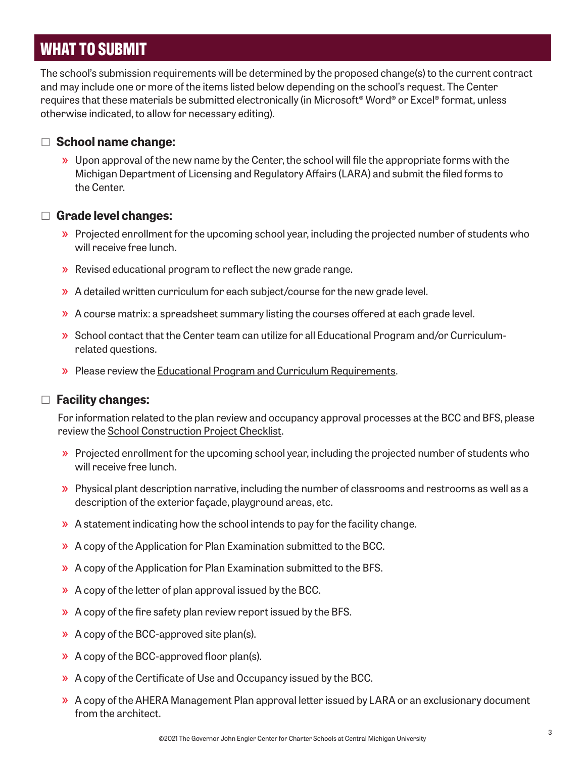## **WHAT TO SUBMIT**

The school's submission requirements will be determined by the proposed change(s) to the current contract and may include one or more of the items listed below depending on the school's request. The Center requires that these materials be submitted electronically (in Microsoft® Word® or Excel® format, unless otherwise indicated, to allow for necessary editing).

#### □ **School name change:**

»**»**Upon approval of the new name by the Center, the school will file the appropriate forms with the Michigan Department of Licensing and Regulatory Affairs (LARA) and submit the filed forms to the Center.

#### □ **Grade level changes:**

- »**»**Projected enrollment for the upcoming school year, including the projected number of students who will receive free lunch.
- »**»**Revised educational program to reflect the new grade range.
- »**»**A detailed written curriculum for each subject/course for the new grade level.
- »**»**A course matrix: a spreadsheet summary listing the courses offered at each grade level.
- »**»**School contact that the Center team can utilize for all Educational Program and/or Curriculumrelated questions.
- »**»**Please review the [Educational Program and Curriculum Requirements.](https://www.thecenterforcharters.org/charter-contract-development/)

#### □ **Facility changes:**

For information related to the plan review and occupancy approval processes at the BCC and BFS, please review the [School Construction Project Checklist](https://www.thecenterforcharters.org/site-facilities/).

- »**»**Projected enrollment for the upcoming school year, including the projected number of students who will receive free lunch.
- »**»**Physical plant description narrative, including the number of classrooms and restrooms as well as a description of the exterior façade, playground areas, etc.
- »**»**A statement indicating how the school intends to pay for the facility change.
- »**»**A copy of the Application for Plan Examination submitted to the BCC.
- »**»**A copy of the Application for Plan Examination submitted to the BFS.
- »**»**A copy of the letter of plan approval issued by the BCC.
- »**»**A copy of the fire safety plan review report issued by the BFS.
- »**»**A copy of the BCC-approved site plan(s).
- »**»**A copy of the BCC-approved floor plan(s).
- »**»**A copy of the Certificate of Use and Occupancy issued by the BCC.
- »**»**A copy of the AHERA Management Plan approval letter issued by LARA or an exclusionary document from the architect.